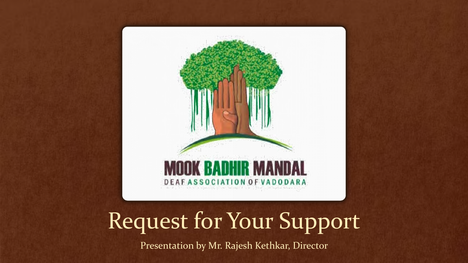

# Request for Your Support

Presentation by Mr. Rajesh Kethkar, Director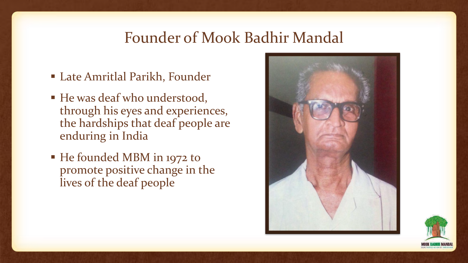### Founder of Mook Badhir Mandal

- Late Amritlal Parikh, Founder
- He was deaf who understood, through his eyes and experiences, the hardships that deaf people are enduring in India
- He founded MBM in 1972 to promote positive change in the lives of the deaf people



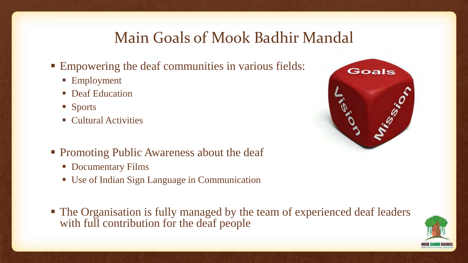## Main Goals of Mook Badhir Mandal

- Empowering the deaf communities in various fields:
	- **Employment**
	- **Deaf Education**
	- **Sports**
	- **Cultural Activities**
- Promoting Public Awareness about the deaf
	- **Documentary Films**
	- Use of Indian Sign Language in Communication
- The Organisation is fully managed by the team of experienced deaf leaders with full contribution for the deaf people



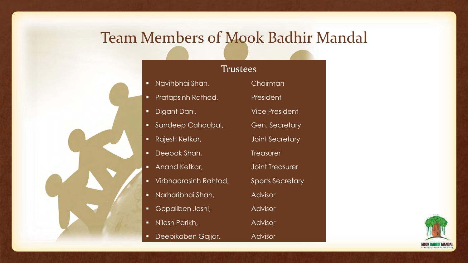### Team Members of Mook Badhir Mandal

#### **Trustees**

- Navinbhai Shah, Chairman
- **Pratapsinh Rathod, Resident**
- 
- **Sandeep Cahaubal, Sancer Secretary**
- Rajesh Ketkar, Saleman Secretary
- **Deepak Shah, Treasurer Instrument Shah**,
- **Anand Ketkar, Anand Ketkar, Anand Ketkar, Anand Ketkar, Anand Anand Joint Treasurer**
- Virbhadrasinh Rahtod, Sports Secretary
- **Narharibhai Shah, Advisor**
- Gopaliben Joshi, Advisor
- **Nilesh Parikh, Advisor Advisor**
- Deepikaben Gajjar, Advisor

**Digant Dani, State Communist President** 

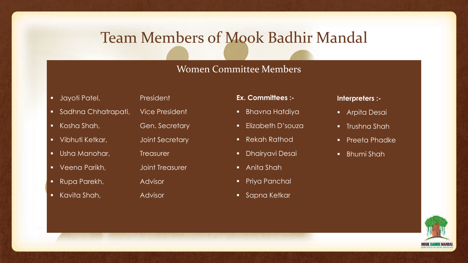## Team Members of Mook Badhir Mandal

#### Women Committee Members

- **Jayoti Patel, Resident**
- **Sadhna Chhatrapati, Vice President**
- 
- 
- **Usha Manohar, Treasurer**
- Veena Parikh, Joint Treasurer
- **Rupa Parekh, Advisor**
- **Kavita Shah, Advisor**

- 
- Kosha Shah, Gen. Secretary
- **•** Vibhuti Ketkar, Joint Secretary
	- -
	- -

#### **Ex. Committees :-**

- **Bhavna Hatdiya**
- **Elizabeth D'souza**
- **Rekah Rathod**
- **•** Dhairyavi Desai
- Anita Shah
- Priya Panchal
- **Sapna Ketkar**

#### **Interpreters :-**

- **Arpita Desai**
- **Trushna Shah**
- **•** Preeta Phadke
- **Bhumi Shah**

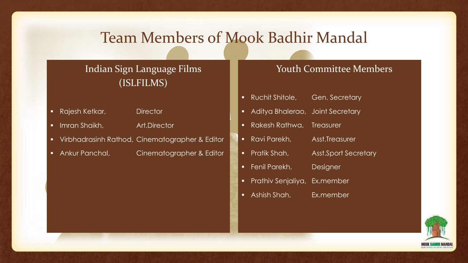### Team Members of Mook Badhir Mandal

### Indian Sign Language Films (ISLFILMS)

- **Rajesh Ketkar, Redige Director**
- **Imran Shaikh, Art.Director**
- Virbhadrasinh Rathod, Cinematographer & Editor
- **Ankur Panchal, Cinematographer & Editor**

#### Youth Committee Members

- **Ruchit Shitole, Gen. Secretary**
- **Aditya Bhalerao, Joint Secretary**
- Rakesh Rathwa, Treasurer
- Ravi Parekh, Asst.Treasurer
- **Pratik Shah, Asst.Sport Secretary**
- **Fenil Parekh, Designer**
- **Prathiv Senjaliya, Ex.member**
- Ashish Shah, Ex.member

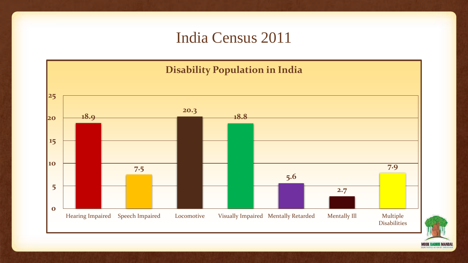### India Census 2011



IOOK BADHIR MAN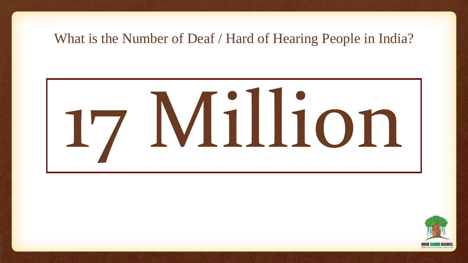### What is the Number of Deaf / Hard of Hearing People in India?



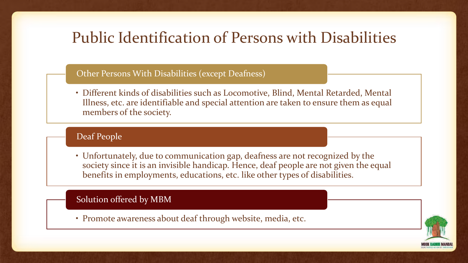## Public Identification of Persons with Disabilities

#### Other Persons With Disabilities (except Deafness)

• Different kinds of disabilities such as Locomotive, Blind, Mental Retarded, Mental Illness, etc. are identifiable and special attention are taken to ensure them as equal members of the society.

#### Deaf People

• Unfortunately, due to communication gap, deafness are not recognized by the society since it is an invisible handicap. Hence, deaf people are not given the equal benefits in employments, educations, etc. like other types of disabilities.

#### Solution offered by MBM

• Promote awareness about deaf through website, media, etc.

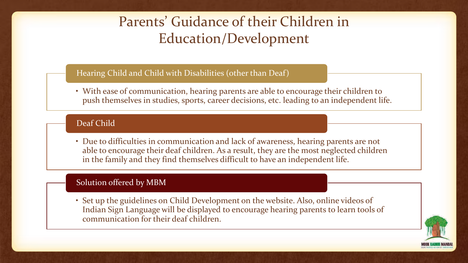### Parents' Guidance of their Children in Education/Development

#### Hearing Child and Child with Disabilities (other than Deaf)

• With ease of communication, hearing parents are able to encourage their children to push themselves in studies, sports, career decisions, etc. leading to an independent life.

#### Deaf Child

• Due to difficulties in communication and lack of awareness, hearing parents are not able to encourage their deaf children. As a result, they are the most neglected children in the family and they find themselves difficult to have an independent life.

#### Solution offered by MBM

• Set up the guidelines on Child Development on the website. Also, online videos of Indian Sign Language will be displayed to encourage hearing parents to learn tools of communication for their deaf children.

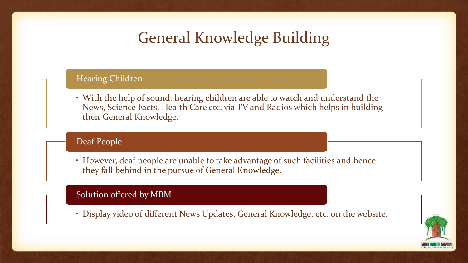## General Knowledge Building

#### Hearing Children

• With the help of sound, hearing children are able to watch and understand the News, Science Facts, Health Care etc. via TV and Radios which helps in building their General Knowledge.

#### Deaf People

• However, deaf people are unable to take advantage of such facilities and hence they fall behind in the pursue of General Knowledge.

#### Solution offered by MBM

• Display video of different News Updates, General Knowledge, etc. on the website.

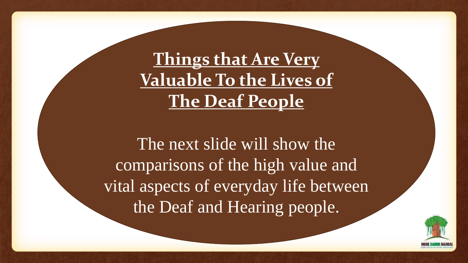**Things that Are Very Valuable To the Lives of The Deaf People**

The next slide will show the comparisons of the high value and vital aspects of everyday life between the Deaf and Hearing people.

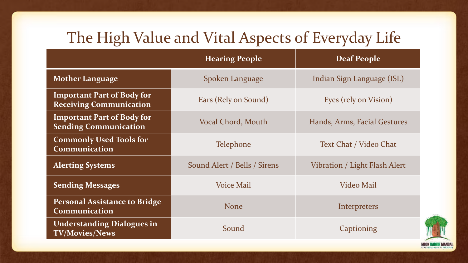## The High Value and Vital Aspects of Everyday Life

|                                                                     | <b>Hearing People</b>        | <b>Deaf People</b>            |
|---------------------------------------------------------------------|------------------------------|-------------------------------|
| <b>Mother Language</b>                                              | Spoken Language              | Indian Sign Language (ISL)    |
| <b>Important Part of Body for</b><br><b>Receiving Communication</b> | Ears (Rely on Sound)         | Eyes (rely on Vision)         |
| <b>Important Part of Body for</b><br><b>Sending Communication</b>   | Vocal Chord, Mouth           | Hands, Arms, Facial Gestures  |
| <b>Commonly Used Tools for</b><br><b>Communication</b>              | <b>Telephone</b>             | Text Chat / Video Chat        |
| <b>Alerting Systems</b>                                             | Sound Alert / Bells / Sirens | Vibration / Light Flash Alert |
| <b>Sending Messages</b>                                             | <b>Voice Mail</b>            | <b>Video Mail</b>             |
| <b>Personal Assistance to Bridge</b><br>Communication               | <b>None</b>                  | Interpreters                  |
| <b>Understanding Dialogues in</b><br><b>TV/Movies/News</b>          | Sound                        | Captioning                    |

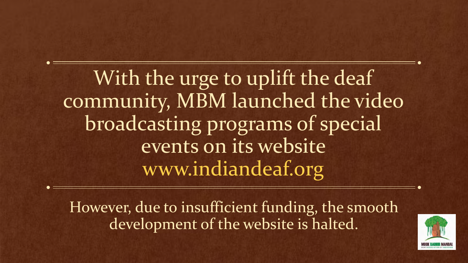With the urge to uplift the deaf community, MBM launched the video broadcasting programs of special events on its website www.indiandeaf.org

However, due to insufficient funding, the smooth development of the website is halted.

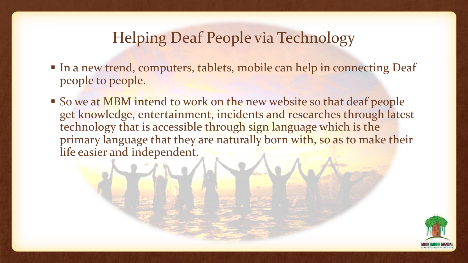## Helping Deaf People via Technology

- In a new trend, computers, tablets, mobile can help in connecting Deaf people to people.
- So we at MBM intend to work on the new website so that deaf people get knowledge, entertainment, incidents and researches through latest technology that is accessible through sign language which is the primary language that they are naturally born with, so as to make their life easier and independent.

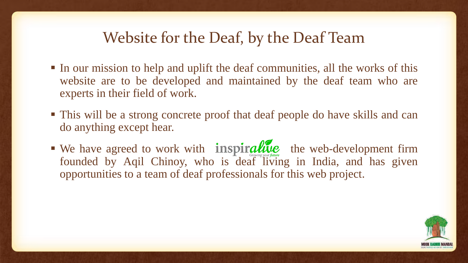### Website for the Deaf, by the Deaf Team

- In our mission to help and uplift the deaf communities, all the works of this website are to be developed and maintained by the deaf team who are experts in their field of work.
- This will be a strong concrete proof that deaf people do have skills and can do anything except hear.
- We have agreed to work with **inspiralive** the web-development firm founded by Aqil Chinoy, who is deaf living in India, and has given opportunities to a team of deaf professionals for this web project.

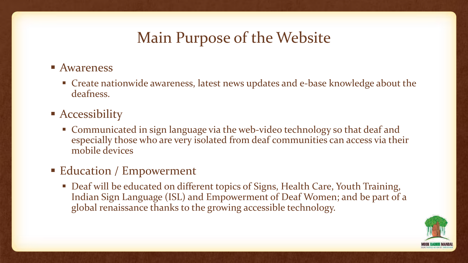## Main Purpose of the Website

### ■ Awareness

- Create nationwide awareness, latest news updates and e-base knowledge about the deafness.
- **Accessibility** 
	- Communicated in sign language via the web-video technology so that deaf and especially those who are very isolated from deaf communities can access via their mobile devices

### ■ Education / Empowerment

 Deaf will be educated on different topics of Signs, Health Care, Youth Training, Indian Sign Language (ISL) and Empowerment of Deaf Women; and be part of a global renaissance thanks to the growing accessible technology.

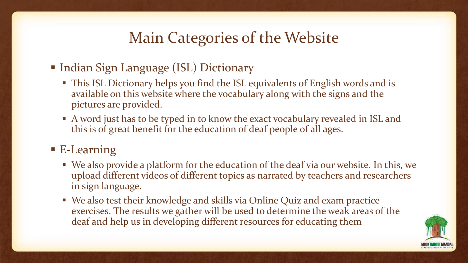## Main Categories of the Website

- Indian Sign Language (ISL) Dictionary
	- This ISL Dictionary helps you find the ISL equivalents of English words and is available on this website where the vocabulary along with the signs and the pictures are provided.
	- A word just has to be typed in to know the exact vocabulary revealed in ISL and this is of great benefit for the education of deaf people of all ages.

### ■ E-Learning

- We also provide a platform for the education of the deaf via our website. In this, we upload different videos of different topics as narrated by teachers and researchers in sign language.
- We also test their knowledge and skills via Online Quiz and exam practice exercises. The results we gather will be used to determine the weak areas of the deaf and help us in developing different resources for educating them

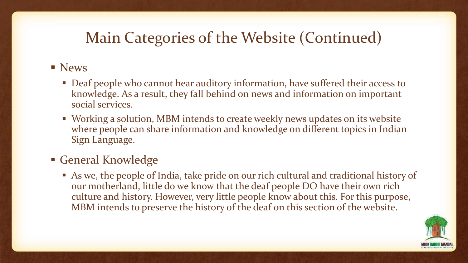## Main Categories of the Website (Continued)

### **News**

- Deaf people who cannot hear auditory information, have suffered their access to knowledge. As a result, they fall behind on news and information on important social services.
- Working a solution, MBM intends to create weekly news updates on its website where people can share information and knowledge on different topics in Indian Sign Language.

### General Knowledge

 As we, the people of India, take pride on our rich cultural and traditional history of our motherland, little do we know that the deaf people DO have their own rich culture and history. However, very little people know about this. For this purpose, MBM intends to preserve the history of the deaf on this section of the website.

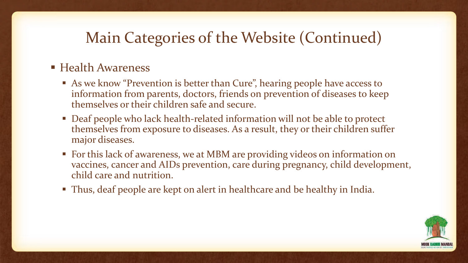## Main Categories of the Website (Continued)

### **Health Awareness**

- As we know "Prevention is better than Cure", hearing people have access to information from parents, doctors, friends on prevention of diseases to keep themselves or their children safe and secure.
- Deaf people who lack health-related information will not be able to protect themselves from exposure to diseases. As a result, they or their children suffer major diseases.
- For this lack of awareness, we at MBM are providing videos on information on vaccines, cancer and AIDs prevention, care during pregnancy, child development, child care and nutrition.
- Thus, deaf people are kept on alert in healthcare and be healthy in India.

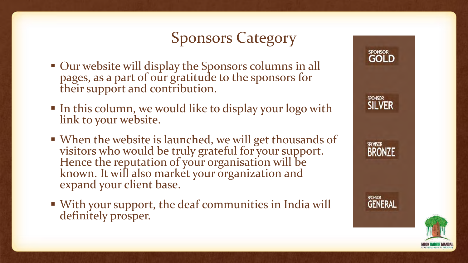## Sponsors Category

- Our website will display the Sponsors columns in all pages, as a part of our gratitude to the sponsors for their support and contribution.
- In this column, we would like to display your logo with link to your website.
- When the website is launched, we will get thousands of visitors who would be truly grateful for your support. Hence the reputation of your organisation will be known. It will also market your organization and expand your client base.
- With your support, the deaf communities in India will definitely prosper.

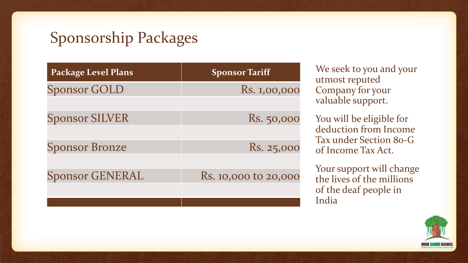## Sponsorship Packages

| <b>Package Level Plans</b> | <b>Sponsor Tariff</b> |
|----------------------------|-----------------------|
| <b>Sponsor GOLD</b>        | Rs. 1,00,000          |
|                            |                       |
| <b>Sponsor SILVER</b>      | Rs. 50,000            |
|                            |                       |
| <b>Sponsor Bronze</b>      | Rs. 25,000            |
|                            |                       |
| <b>Sponsor GENERAL</b>     | Rs. 10,000 to 20,000  |
|                            |                       |
|                            |                       |

We seek to you and your utmost reputed Company for your valuable support.

You will be eligible for deduction from Income Tax under Section 80-G of Income Tax Act.

Your support will change the lives of the millions of the deaf people in India

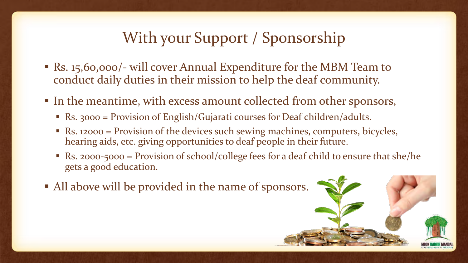## With your Support / Sponsorship

- Rs. 15,60,000/- will cover Annual Expenditure for the MBM Team to conduct daily duties in their mission to help the deaf community.
- In the meantime, with excess amount collected from other sponsors,
	- Rs. 3000 = Provision of English/Gujarati courses for Deaf children/adults.
	- Rs. 12000 = Provision of the devices such sewing machines, computers, bicycles, hearing aids, etc. giving opportunities to deaf people in their future.
	- Rs. 2000-5000 = Provision of school/college fees for a deaf child to ensure that she/he gets a good education.
- All above will be provided in the name of sponsors.